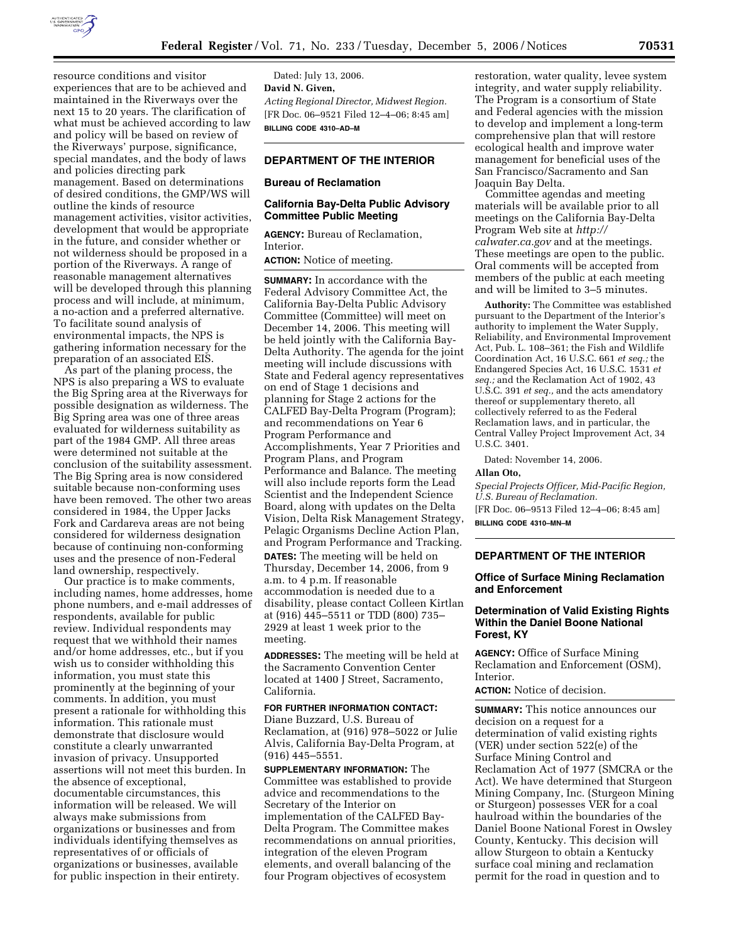

resource conditions and visitor experiences that are to be achieved and maintained in the Riverways over the next 15 to 20 years. The clarification of what must be achieved according to law and policy will be based on review of the Riverways' purpose, significance, special mandates, and the body of laws and policies directing park management. Based on determinations of desired conditions, the GMP/WS will outline the kinds of resource management activities, visitor activities, development that would be appropriate in the future, and consider whether or not wilderness should be proposed in a portion of the Riverways. A range of reasonable management alternatives will be developed through this planning process and will include, at minimum, a no-action and a preferred alternative. To facilitate sound analysis of environmental impacts, the NPS is gathering information necessary for the preparation of an associated EIS.

As part of the planing process, the NPS is also preparing a WS to evaluate the Big Spring area at the Riverways for possible designation as wilderness. The Big Spring area was one of three areas evaluated for wilderness suitability as part of the 1984 GMP. All three areas were determined not suitable at the conclusion of the suitability assessment. The Big Spring area is now considered suitable because non-conforming uses have been removed. The other two areas considered in 1984, the Upper Jacks Fork and Cardareva areas are not being considered for wilderness designation because of continuing non-conforming uses and the presence of non-Federal land ownership, respectively.

Our practice is to make comments, including names, home addresses, home phone numbers, and e-mail addresses of respondents, available for public review. Individual respondents may request that we withhold their names and/or home addresses, etc., but if you wish us to consider withholding this information, you must state this prominently at the beginning of your comments. In addition, you must present a rationale for withholding this information. This rationale must demonstrate that disclosure would constitute a clearly unwarranted invasion of privacy. Unsupported assertions will not meet this burden. In the absence of exceptional, documentable circumstances, this information will be released. We will always make submissions from organizations or businesses and from individuals identifying themselves as representatives of or officials of organizations or businesses, available for public inspection in their entirety.

Dated: July 13, 2006. **David N. Given,**  *Acting Regional Director, Midwest Region.*  [FR Doc. 06–9521 Filed 12–4–06; 8:45 am] **BILLING CODE 4310–AD–M** 

# **DEPARTMENT OF THE INTERIOR**

#### **Bureau of Reclamation**

### **California Bay-Delta Public Advisory Committee Public Meeting**

**AGENCY:** Bureau of Reclamation, Interior. **ACTION:** Notice of meeting.

**SUMMARY:** In accordance with the Federal Advisory Committee Act, the California Bay-Delta Public Advisory Committee (Committee) will meet on December 14, 2006. This meeting will be held jointly with the California Bay-Delta Authority. The agenda for the joint meeting will include discussions with State and Federal agency representatives on end of Stage 1 decisions and planning for Stage 2 actions for the CALFED Bay-Delta Program (Program); and recommendations on Year 6 Program Performance and Accomplishments, Year 7 Priorities and Program Plans, and Program Performance and Balance. The meeting will also include reports form the Lead Scientist and the Independent Science Board, along with updates on the Delta Vision, Delta Risk Management Strategy, Pelagic Organisms Decline Action Plan, and Program Performance and Tracking.

**DATES:** The meeting will be held on Thursday, December 14, 2006, from 9 a.m. to 4 p.m. If reasonable accommodation is needed due to a disability, please contact Colleen Kirtlan at (916) 445–5511 or TDD (800) 735– 2929 at least 1 week prior to the meeting.

**ADDRESSES:** The meeting will be held at the Sacramento Convention Center located at 1400 J Street, Sacramento, California.

## **FOR FURTHER INFORMATION CONTACT:**  Diane Buzzard, U.S. Bureau of Reclamation, at (916) 978–5022 or Julie Alvis, California Bay-Delta Program, at (916) 445–5551.

**SUPPLEMENTARY INFORMATION:** The Committee was established to provide advice and recommendations to the Secretary of the Interior on implementation of the CALFED Bay-Delta Program. The Committee makes recommendations on annual priorities, integration of the eleven Program elements, and overall balancing of the four Program objectives of ecosystem

restoration, water quality, levee system integrity, and water supply reliability. The Program is a consortium of State and Federal agencies with the mission to develop and implement a long-term comprehensive plan that will restore ecological health and improve water management for beneficial uses of the San Francisco/Sacramento and San Joaquin Bay Delta.

Committee agendas and meeting materials will be available prior to all meetings on the California Bay-Delta Program Web site at *http:// calwater.ca.gov* and at the meetings. These meetings are open to the public. Oral comments will be accepted from members of the public at each meeting and will be limited to 3–5 minutes.

**Authority:** The Committee was established pursuant to the Department of the Interior's authority to implement the Water Supply, Reliability, and Environmental Improvement Act, Pub. L. 108–361; the Fish and Wildlife Coordination Act, 16 U.S.C. 661 *et seq.;* the Endangered Species Act, 16 U.S.C. 1531 *et seq.;* and the Reclamation Act of 1902, 43 U.S.C. 391 *et seq.,* and the acts amendatory thereof or supplementary thereto, all collectively referred to as the Federal Reclamation laws, and in particular, the Central Valley Project Improvement Act, 34 U.S.C. 3401.

Dated: November 14, 2006.

#### **Allan Oto,**

*Special Projects Officer, Mid-Pacific Region, U.S. Bureau of Reclamation.* 

[FR Doc. 06–9513 Filed 12–4–06; 8:45 am] **BILLING CODE 4310–MN–M** 

## **DEPARTMENT OF THE INTERIOR**

#### **Office of Surface Mining Reclamation and Enforcement**

## **Determination of Valid Existing Rights Within the Daniel Boone National Forest, KY**

**AGENCY:** Office of Surface Mining Reclamation and Enforcement (OSM), Interior.

**ACTION:** Notice of decision.

**SUMMARY:** This notice announces our decision on a request for a determination of valid existing rights (VER) under section 522(e) of the Surface Mining Control and Reclamation Act of 1977 (SMCRA or the Act). We have determined that Sturgeon Mining Company, Inc. (Sturgeon Mining or Sturgeon) possesses VER for a coal haulroad within the boundaries of the Daniel Boone National Forest in Owsley County, Kentucky. This decision will allow Sturgeon to obtain a Kentucky surface coal mining and reclamation permit for the road in question and to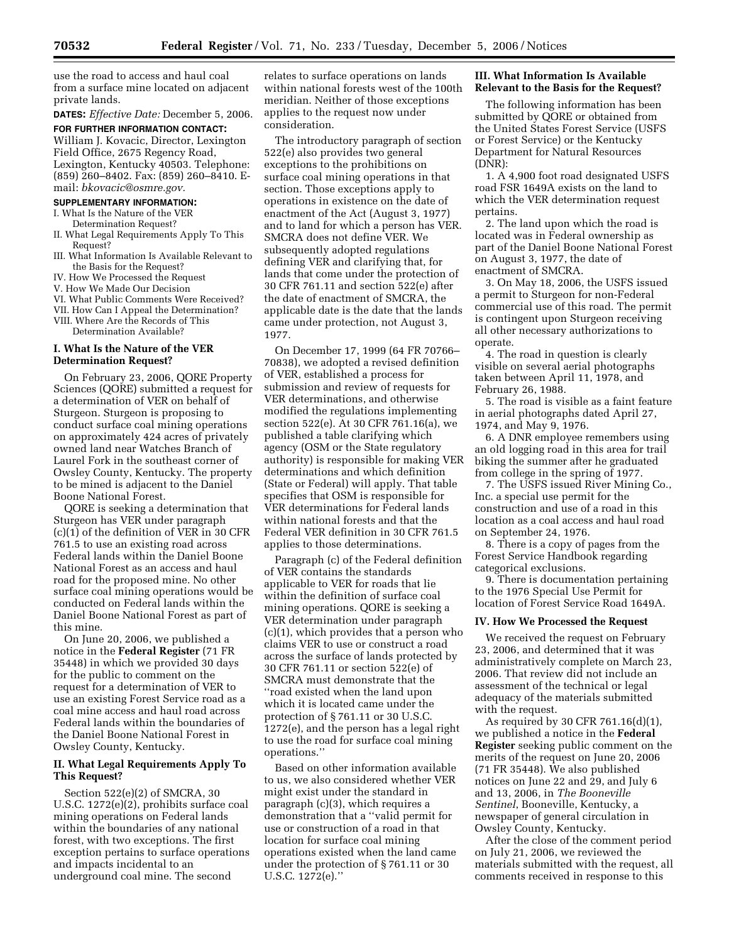use the road to access and haul coal from a surface mine located on adjacent private lands.

**DATES:** *Effective Date:* December 5, 2006. **FOR FURTHER INFORMATION CONTACT:**  William J. Kovacic, Director, Lexington Field Office, 2675 Regency Road, Lexington, Kentucky 40503. Telephone: (859) 260–8402. Fax: (859) 260–8410. Email: *bkovacic@osmre.gov.* 

#### **SUPPLEMENTARY INFORMATION:**

- I. What Is the Nature of the VER Determination Request?
- II. What Legal Requirements Apply To This Request?
- III. What Information Is Available Relevant to the Basis for the Request?
- IV. How We Processed the Request
- V. How We Made Our Decision
- VI. What Public Comments Were Received?
- VII. How Can I Appeal the Determination?

VIII. Where Are the Records of This Determination Available?

#### **I. What Is the Nature of the VER Determination Request?**

On February 23, 2006, QORE Property Sciences (QORE) submitted a request for a determination of VER on behalf of Sturgeon. Sturgeon is proposing to conduct surface coal mining operations on approximately 424 acres of privately owned land near Watches Branch of Laurel Fork in the southeast corner of Owsley County, Kentucky. The property to be mined is adjacent to the Daniel Boone National Forest.

QORE is seeking a determination that Sturgeon has VER under paragraph (c)(1) of the definition of VER in 30 CFR 761.5 to use an existing road across Federal lands within the Daniel Boone National Forest as an access and haul road for the proposed mine. No other surface coal mining operations would be conducted on Federal lands within the Daniel Boone National Forest as part of this mine.

On June 20, 2006, we published a notice in the **Federal Register** (71 FR 35448) in which we provided 30 days for the public to comment on the request for a determination of VER to use an existing Forest Service road as a coal mine access and haul road across Federal lands within the boundaries of the Daniel Boone National Forest in Owsley County, Kentucky.

## **II. What Legal Requirements Apply To This Request?**

Section 522(e)(2) of SMCRA, 30 U.S.C. 1272(e)(2), prohibits surface coal mining operations on Federal lands within the boundaries of any national forest, with two exceptions. The first exception pertains to surface operations and impacts incidental to an underground coal mine. The second

relates to surface operations on lands within national forests west of the 100th meridian. Neither of those exceptions applies to the request now under consideration.

The introductory paragraph of section 522(e) also provides two general exceptions to the prohibitions on surface coal mining operations in that section. Those exceptions apply to operations in existence on the date of enactment of the Act (August 3, 1977) and to land for which a person has VER. SMCRA does not define VER. We subsequently adopted regulations defining VER and clarifying that, for lands that come under the protection of 30 CFR 761.11 and section 522(e) after the date of enactment of SMCRA, the applicable date is the date that the lands came under protection, not August 3, 1977.

On December 17, 1999 (64 FR 70766– 70838), we adopted a revised definition of VER, established a process for submission and review of requests for VER determinations, and otherwise modified the regulations implementing section 522(e). At 30 CFR 761.16(a), we published a table clarifying which agency (OSM or the State regulatory authority) is responsible for making VER determinations and which definition (State or Federal) will apply. That table specifies that OSM is responsible for VER determinations for Federal lands within national forests and that the Federal VER definition in 30 CFR 761.5 applies to those determinations.

Paragraph (c) of the Federal definition of VER contains the standards applicable to VER for roads that lie within the definition of surface coal mining operations. QORE is seeking a VER determination under paragraph (c)(1), which provides that a person who claims VER to use or construct a road across the surface of lands protected by 30 CFR 761.11 or section 522(e) of SMCRA must demonstrate that the ''road existed when the land upon which it is located came under the protection of § 761.11 or 30 U.S.C. 1272(e), and the person has a legal right to use the road for surface coal mining operations.''

Based on other information available to us, we also considered whether VER might exist under the standard in paragraph (c)(3), which requires a demonstration that a ''valid permit for use or construction of a road in that location for surface coal mining operations existed when the land came under the protection of § 761.11 or 30 U.S.C. 1272(e).''

## **III. What Information Is Available Relevant to the Basis for the Request?**

The following information has been submitted by QORE or obtained from the United States Forest Service (USFS or Forest Service) or the Kentucky Department for Natural Resources (DNR):

1. A 4,900 foot road designated USFS road FSR 1649A exists on the land to which the VER determination request pertains.

2. The land upon which the road is located was in Federal ownership as part of the Daniel Boone National Forest on August 3, 1977, the date of enactment of SMCRA.

3. On May 18, 2006, the USFS issued a permit to Sturgeon for non-Federal commercial use of this road. The permit is contingent upon Sturgeon receiving all other necessary authorizations to operate.

4. The road in question is clearly visible on several aerial photographs taken between April 11, 1978, and February 26, 1988.

5. The road is visible as a faint feature in aerial photographs dated April 27, 1974, and May 9, 1976.

6. A DNR employee remembers using an old logging road in this area for trail biking the summer after he graduated from college in the spring of 1977.

7. The USFS issued River Mining Co., Inc. a special use permit for the construction and use of a road in this location as a coal access and haul road on September 24, 1976.

8. There is a copy of pages from the Forest Service Handbook regarding categorical exclusions.

9. There is documentation pertaining to the 1976 Special Use Permit for location of Forest Service Road 1649A.

### **IV. How We Processed the Request**

We received the request on February 23, 2006, and determined that it was administratively complete on March 23, 2006. That review did not include an assessment of the technical or legal adequacy of the materials submitted with the request.

As required by 30 CFR 761.16(d)(1), we published a notice in the **Federal Register** seeking public comment on the merits of the request on June 20, 2006 (71 FR 35448). We also published notices on June 22 and 29, and July 6 and 13, 2006, in *The Booneville Sentinel*, Booneville, Kentucky, a newspaper of general circulation in Owsley County, Kentucky.

After the close of the comment period on July 21, 2006, we reviewed the materials submitted with the request, all comments received in response to this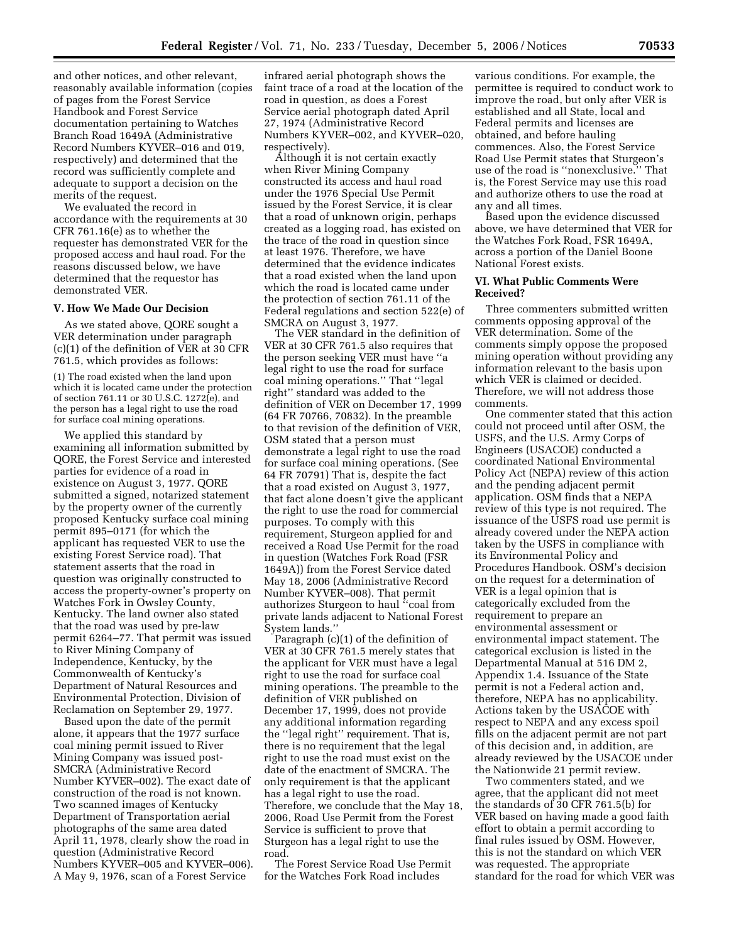and other notices, and other relevant, reasonably available information (copies of pages from the Forest Service Handbook and Forest Service documentation pertaining to Watches Branch Road 1649A (Administrative Record Numbers KYVER–016 and 019, respectively) and determined that the record was sufficiently complete and adequate to support a decision on the merits of the request.

We evaluated the record in accordance with the requirements at 30 CFR 761.16(e) as to whether the requester has demonstrated VER for the proposed access and haul road. For the reasons discussed below, we have determined that the requestor has demonstrated VER.

## **V. How We Made Our Decision**

As we stated above, QORE sought a VER determination under paragraph (c)(1) of the definition of VER at 30 CFR 761.5, which provides as follows:

(1) The road existed when the land upon which it is located came under the protection of section 761.11 or 30 U.S.C. 1272(e), and the person has a legal right to use the road for surface coal mining operations.

We applied this standard by examining all information submitted by QORE, the Forest Service and interested parties for evidence of a road in existence on August 3, 1977. QORE submitted a signed, notarized statement by the property owner of the currently proposed Kentucky surface coal mining permit 895–0171 (for which the applicant has requested VER to use the existing Forest Service road). That statement asserts that the road in question was originally constructed to access the property-owner's property on Watches Fork in Owsley County, Kentucky. The land owner also stated that the road was used by pre-law permit 6264–77. That permit was issued to River Mining Company of Independence, Kentucky, by the Commonwealth of Kentucky's Department of Natural Resources and Environmental Protection, Division of Reclamation on September 29, 1977.

Based upon the date of the permit alone, it appears that the 1977 surface coal mining permit issued to River Mining Company was issued post-SMCRA (Administrative Record Number KYVER–002). The exact date of construction of the road is not known. Two scanned images of Kentucky Department of Transportation aerial photographs of the same area dated April 11, 1978, clearly show the road in question (Administrative Record Numbers KYVER–005 and KYVER–006). A May 9, 1976, scan of a Forest Service

infrared aerial photograph shows the faint trace of a road at the location of the road in question, as does a Forest Service aerial photograph dated April 27, 1974 (Administrative Record Numbers KYVER–002, and KYVER–020, respectively).

Although it is not certain exactly when River Mining Company constructed its access and haul road under the 1976 Special Use Permit issued by the Forest Service, it is clear that a road of unknown origin, perhaps created as a logging road, has existed on the trace of the road in question since at least 1976. Therefore, we have determined that the evidence indicates that a road existed when the land upon which the road is located came under the protection of section 761.11 of the Federal regulations and section 522(e) of SMCRA on August 3, 1977.

The VER standard in the definition of VER at 30 CFR 761.5 also requires that the person seeking VER must have ''a legal right to use the road for surface coal mining operations.'' That ''legal right'' standard was added to the definition of VER on December 17, 1999 (64 FR 70766, 70832). In the preamble to that revision of the definition of VER, OSM stated that a person must demonstrate a legal right to use the road for surface coal mining operations. (See 64 FR 70791) That is, despite the fact that a road existed on August 3, 1977, that fact alone doesn't give the applicant the right to use the road for commercial purposes. To comply with this requirement, Sturgeon applied for and received a Road Use Permit for the road in question (Watches Fork Road (FSR 1649A)) from the Forest Service dated May 18, 2006 (Administrative Record Number KYVER–008). That permit authorizes Sturgeon to haul ''coal from private lands adjacent to National Forest System lands.''

Paragraph (c)(1) of the definition of VER at 30 CFR 761.5 merely states that the applicant for VER must have a legal right to use the road for surface coal mining operations. The preamble to the definition of VER published on December 17, 1999, does not provide any additional information regarding the ''legal right'' requirement. That is, there is no requirement that the legal right to use the road must exist on the date of the enactment of SMCRA. The only requirement is that the applicant has a legal right to use the road. Therefore, we conclude that the May 18, 2006, Road Use Permit from the Forest Service is sufficient to prove that Sturgeon has a legal right to use the road.

The Forest Service Road Use Permit for the Watches Fork Road includes

various conditions. For example, the permittee is required to conduct work to improve the road, but only after VER is established and all State, local and Federal permits and licenses are obtained, and before hauling commences. Also, the Forest Service Road Use Permit states that Sturgeon's use of the road is ''nonexclusive.'' That is, the Forest Service may use this road and authorize others to use the road at any and all times.

Based upon the evidence discussed above, we have determined that VER for the Watches Fork Road, FSR 1649A, across a portion of the Daniel Boone National Forest exists.

## **VI. What Public Comments Were Received?**

Three commenters submitted written comments opposing approval of the VER determination. Some of the comments simply oppose the proposed mining operation without providing any information relevant to the basis upon which VER is claimed or decided. Therefore, we will not address those comments.

One commenter stated that this action could not proceed until after OSM, the USFS, and the U.S. Army Corps of Engineers (USACOE) conducted a coordinated National Environmental Policy Act (NEPA) review of this action and the pending adjacent permit application. OSM finds that a NEPA review of this type is not required. The issuance of the USFS road use permit is already covered under the NEPA action taken by the USFS in compliance with its Environmental Policy and Procedures Handbook. OSM's decision on the request for a determination of VER is a legal opinion that is categorically excluded from the requirement to prepare an environmental assessment or environmental impact statement. The categorical exclusion is listed in the Departmental Manual at 516 DM 2, Appendix 1.4. Issuance of the State permit is not a Federal action and, therefore, NEPA has no applicability. Actions taken by the USACOE with respect to NEPA and any excess spoil fills on the adjacent permit are not part of this decision and, in addition, are already reviewed by the USACOE under the Nationwide 21 permit review.

Two commenters stated, and we agree, that the applicant did not meet the standards of 30 CFR 761.5(b) for VER based on having made a good faith effort to obtain a permit according to final rules issued by OSM. However, this is not the standard on which VER was requested. The appropriate standard for the road for which VER was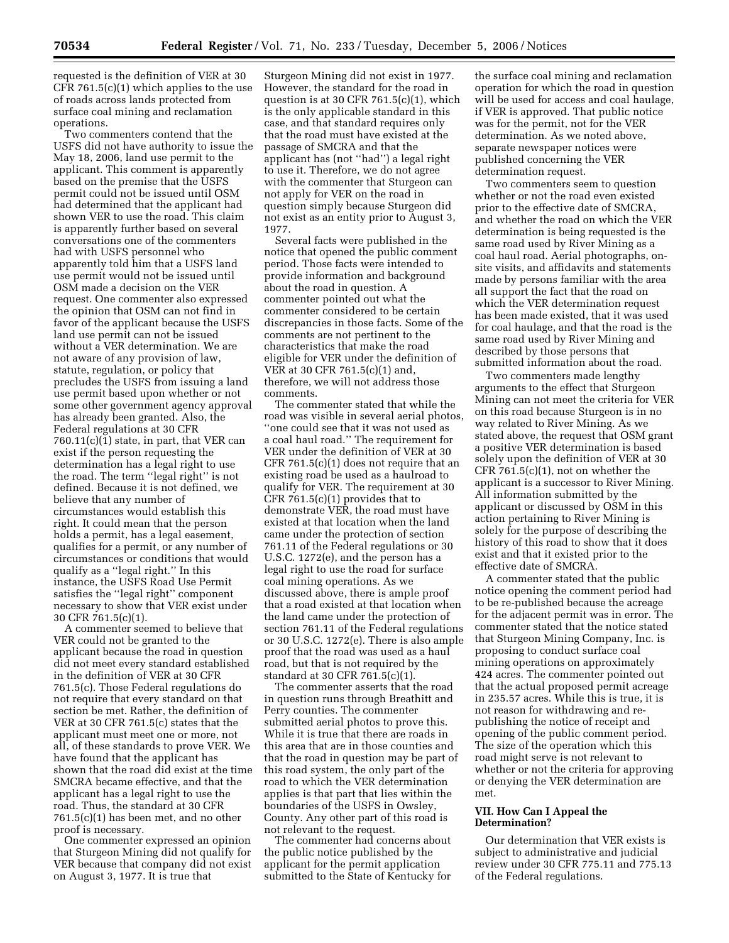requested is the definition of VER at 30 CFR 761.5(c)(1) which applies to the use of roads across lands protected from surface coal mining and reclamation operations.

Two commenters contend that the USFS did not have authority to issue the May 18, 2006, land use permit to the applicant. This comment is apparently based on the premise that the USFS permit could not be issued until OSM had determined that the applicant had shown VER to use the road. This claim is apparently further based on several conversations one of the commenters had with USFS personnel who apparently told him that a USFS land use permit would not be issued until OSM made a decision on the VER request. One commenter also expressed the opinion that OSM can not find in favor of the applicant because the USFS land use permit can not be issued without a VER determination. We are not aware of any provision of law, statute, regulation, or policy that precludes the USFS from issuing a land use permit based upon whether or not some other government agency approval has already been granted. Also, the Federal regulations at 30 CFR 760.11(c)(1) state, in part, that VER can exist if the person requesting the determination has a legal right to use the road. The term ''legal right'' is not defined. Because it is not defined, we believe that any number of circumstances would establish this right. It could mean that the person holds a permit, has a legal easement, qualifies for a permit, or any number of circumstances or conditions that would qualify as a ''legal right.'' In this instance, the USFS Road Use Permit satisfies the ''legal right'' component necessary to show that VER exist under 30 CFR 761.5(c)(1).

A commenter seemed to believe that VER could not be granted to the applicant because the road in question did not meet every standard established in the definition of VER at 30 CFR 761.5(c). Those Federal regulations do not require that every standard on that section be met. Rather, the definition of VER at 30 CFR 761.5(c) states that the applicant must meet one or more, not all, of these standards to prove VER. We have found that the applicant has shown that the road did exist at the time SMCRA became effective, and that the applicant has a legal right to use the road. Thus, the standard at 30 CFR 761.5(c)(1) has been met, and no other proof is necessary.

One commenter expressed an opinion that Sturgeon Mining did not qualify for VER because that company did not exist on August 3, 1977. It is true that

Sturgeon Mining did not exist in 1977. However, the standard for the road in question is at 30 CFR  $761.5(c)(1)$ , which is the only applicable standard in this case, and that standard requires only that the road must have existed at the passage of SMCRA and that the applicant has (not ''had'') a legal right to use it. Therefore, we do not agree with the commenter that Sturgeon can not apply for VER on the road in question simply because Sturgeon did not exist as an entity prior to August 3, 1977.

Several facts were published in the notice that opened the public comment period. Those facts were intended to provide information and background about the road in question. A commenter pointed out what the commenter considered to be certain discrepancies in those facts. Some of the comments are not pertinent to the characteristics that make the road eligible for VER under the definition of VER at 30 CFR 761.5(c)(1) and, therefore, we will not address those comments.

The commenter stated that while the road was visible in several aerial photos, ''one could see that it was not used as a coal haul road.'' The requirement for VER under the definition of VER at 30 CFR 761.5(c)(1) does not require that an existing road be used as a haulroad to qualify for VER. The requirement at 30 CFR 761.5(c)(1) provides that to demonstrate VER, the road must have existed at that location when the land came under the protection of section 761.11 of the Federal regulations or 30 U.S.C. 1272(e), and the person has a legal right to use the road for surface coal mining operations. As we discussed above, there is ample proof that a road existed at that location when the land came under the protection of section 761.11 of the Federal regulations or 30 U.S.C. 1272(e). There is also ample proof that the road was used as a haul road, but that is not required by the standard at 30 CFR 761.5(c)(1).

The commenter asserts that the road in question runs through Breathitt and Perry counties. The commenter submitted aerial photos to prove this. While it is true that there are roads in this area that are in those counties and that the road in question may be part of this road system, the only part of the road to which the VER determination applies is that part that lies within the boundaries of the USFS in Owsley, County. Any other part of this road is not relevant to the request.

The commenter had concerns about the public notice published by the applicant for the permit application submitted to the State of Kentucky for

the surface coal mining and reclamation operation for which the road in question will be used for access and coal haulage, if VER is approved. That public notice was for the permit, not for the VER determination. As we noted above, separate newspaper notices were published concerning the VER determination request.

Two commenters seem to question whether or not the road even existed prior to the effective date of SMCRA, and whether the road on which the VER determination is being requested is the same road used by River Mining as a coal haul road. Aerial photographs, onsite visits, and affidavits and statements made by persons familiar with the area all support the fact that the road on which the VER determination request has been made existed, that it was used for coal haulage, and that the road is the same road used by River Mining and described by those persons that submitted information about the road.

Two commenters made lengthy arguments to the effect that Sturgeon Mining can not meet the criteria for VER on this road because Sturgeon is in no way related to River Mining. As we stated above, the request that OSM grant a positive VER determination is based solely upon the definition of VER at 30 CFR  $761.5(c)(1)$ , not on whether the applicant is a successor to River Mining. All information submitted by the applicant or discussed by OSM in this action pertaining to River Mining is solely for the purpose of describing the history of this road to show that it does exist and that it existed prior to the effective date of SMCRA.

A commenter stated that the public notice opening the comment period had to be re-published because the acreage for the adjacent permit was in error. The commenter stated that the notice stated that Sturgeon Mining Company, Inc. is proposing to conduct surface coal mining operations on approximately 424 acres. The commenter pointed out that the actual proposed permit acreage in 235.57 acres. While this is true, it is not reason for withdrawing and republishing the notice of receipt and opening of the public comment period. The size of the operation which this road might serve is not relevant to whether or not the criteria for approving or denying the VER determination are met.

## **VII. How Can I Appeal the Determination?**

Our determination that VER exists is subject to administrative and judicial review under 30 CFR 775.11 and 775.13 of the Federal regulations.